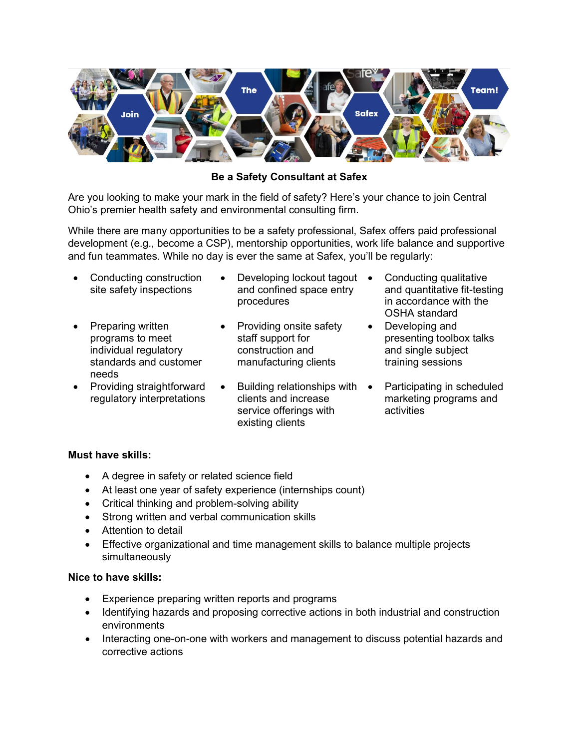

**Be a Safety Consultant at Safex**

Are you looking to make your mark in the field of safety? Here's your chance to join Central Ohio's premier health safety and environmental consulting firm.

While there are many opportunities to be a safety professional, Safex offers paid professional development (e.g., become a CSP), mentorship opportunities, work life balance and supportive and fun teammates. While no day is ever the same at Safex, you'll be regularly:

- Conducting construction site safety inspections
- Preparing written programs to meet individual regulatory standards and customer needs
- Providing straightforward regulatory interpretations
- Developing lockout tagout and confined space entry procedures
- Providing onsite safety staff support for construction and manufacturing clients
- Building relationships with clients and increase service offerings with existing clients
- Conducting qualitative and quantitative fit-testing in accordance with the OSHA standard
- Developing and presenting toolbox talks and single subject training sessions
	- Participating in scheduled marketing programs and activities

## **Must have skills:**

- A degree in safety or related science field
- At least one year of safety experience (internships count)
- Critical thinking and problem-solving ability
- Strong written and verbal communication skills
- Attention to detail
- Effective organizational and time management skills to balance multiple projects simultaneously

## **Nice to have skills:**

- Experience preparing written reports and programs
- Identifying hazards and proposing corrective actions in both industrial and construction environments
- Interacting one-on-one with workers and management to discuss potential hazards and corrective actions